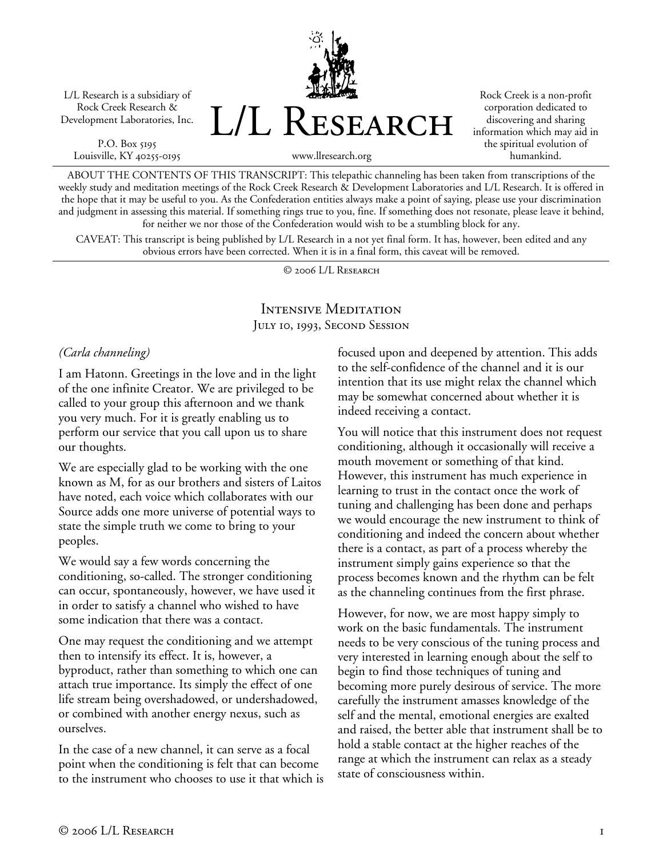L/L Research is a subsidiary of Rock Creek Research & Development Laboratories, Inc.

P.O. Box 5195 Louisville, KY 40255-0195 L/L Research

www.llresearch.org

Rock Creek is a non-profit corporation dedicated to discovering and sharing information which may aid in the spiritual evolution of humankind.

ABOUT THE CONTENTS OF THIS TRANSCRIPT: This telepathic channeling has been taken from transcriptions of the weekly study and meditation meetings of the Rock Creek Research & Development Laboratories and L/L Research. It is offered in the hope that it may be useful to you. As the Confederation entities always make a point of saying, please use your discrimination and judgment in assessing this material. If something rings true to you, fine. If something does not resonate, please leave it behind,

for neither we nor those of the Confederation would wish to be a stumbling block for any. CAVEAT: This transcript is being published by L/L Research in a not yet final form. It has, however, been edited and any obvious errors have been corrected. When it is in a final form, this caveat will be removed.

© 2006 L/L Research

#### Intensive Meditation JULY 10, 1993, SECOND SESSION

#### *(Carla channeling)*

I am Hatonn. Greetings in the love and in the light of the one infinite Creator. We are privileged to be called to your group this afternoon and we thank you very much. For it is greatly enabling us to perform our service that you call upon us to share our thoughts.

We are especially glad to be working with the one known as M, for as our brothers and sisters of Laitos have noted, each voice which collaborates with our Source adds one more universe of potential ways to state the simple truth we come to bring to your peoples.

We would say a few words concerning the conditioning, so-called. The stronger conditioning can occur, spontaneously, however, we have used it in order to satisfy a channel who wished to have some indication that there was a contact.

One may request the conditioning and we attempt then to intensify its effect. It is, however, a byproduct, rather than something to which one can attach true importance. Its simply the effect of one life stream being overshadowed, or undershadowed, or combined with another energy nexus, such as ourselves.

In the case of a new channel, it can serve as a focal point when the conditioning is felt that can become to the instrument who chooses to use it that which is focused upon and deepened by attention. This adds to the self-confidence of the channel and it is our intention that its use might relax the channel which may be somewhat concerned about whether it is indeed receiving a contact.

You will notice that this instrument does not request conditioning, although it occasionally will receive a mouth movement or something of that kind. However, this instrument has much experience in learning to trust in the contact once the work of tuning and challenging has been done and perhaps we would encourage the new instrument to think of conditioning and indeed the concern about whether there is a contact, as part of a process whereby the instrument simply gains experience so that the process becomes known and the rhythm can be felt as the channeling continues from the first phrase.

However, for now, we are most happy simply to work on the basic fundamentals. The instrument needs to be very conscious of the tuning process and very interested in learning enough about the self to begin to find those techniques of tuning and becoming more purely desirous of service. The more carefully the instrument amasses knowledge of the self and the mental, emotional energies are exalted and raised, the better able that instrument shall be to hold a stable contact at the higher reaches of the range at which the instrument can relax as a steady state of consciousness within.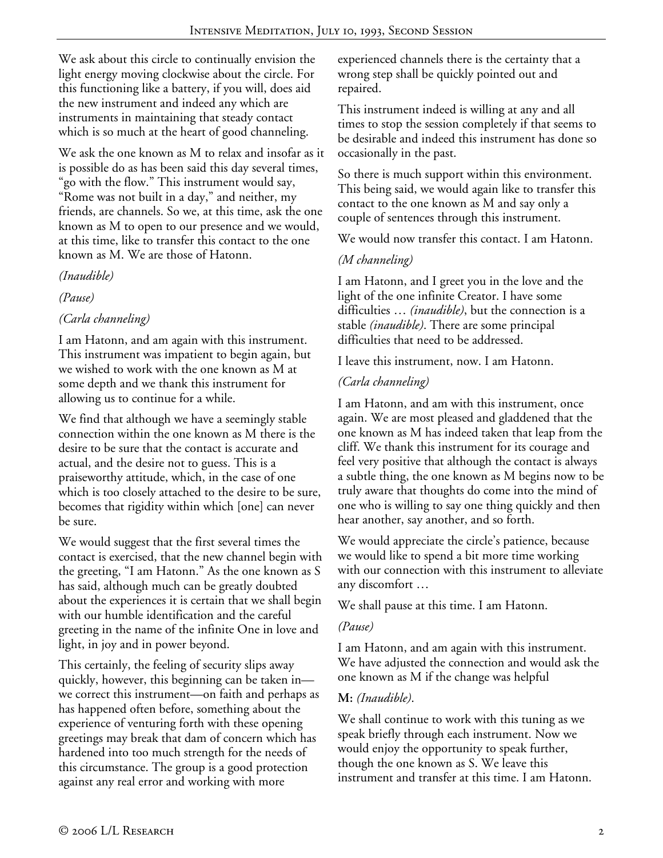We ask about this circle to continually envision the light energy moving clockwise about the circle. For this functioning like a battery, if you will, does aid the new instrument and indeed any which are instruments in maintaining that steady contact which is so much at the heart of good channeling.

We ask the one known as M to relax and insofar as it is possible do as has been said this day several times, "go with the flow." This instrument would say, "Rome was not built in a day," and neither, my friends, are channels. So we, at this time, ask the one known as M to open to our presence and we would, at this time, like to transfer this contact to the one known as M. We are those of Hatonn.

*(Inaudible)* 

*(Pause)* 

### *(Carla channeling)*

I am Hatonn, and am again with this instrument. This instrument was impatient to begin again, but we wished to work with the one known as M at some depth and we thank this instrument for allowing us to continue for a while.

We find that although we have a seemingly stable connection within the one known as M there is the desire to be sure that the contact is accurate and actual, and the desire not to guess. This is a praiseworthy attitude, which, in the case of one which is too closely attached to the desire to be sure, becomes that rigidity within which [one] can never be sure.

We would suggest that the first several times the contact is exercised, that the new channel begin with the greeting, "I am Hatonn." As the one known as S has said, although much can be greatly doubted about the experiences it is certain that we shall begin with our humble identification and the careful greeting in the name of the infinite One in love and light, in joy and in power beyond.

This certainly, the feeling of security slips away quickly, however, this beginning can be taken in we correct this instrument—on faith and perhaps as has happened often before, something about the experience of venturing forth with these opening greetings may break that dam of concern which has hardened into too much strength for the needs of this circumstance. The group is a good protection against any real error and working with more

experienced channels there is the certainty that a wrong step shall be quickly pointed out and repaired.

This instrument indeed is willing at any and all times to stop the session completely if that seems to be desirable and indeed this instrument has done so occasionally in the past.

So there is much support within this environment. This being said, we would again like to transfer this contact to the one known as M and say only a couple of sentences through this instrument.

We would now transfer this contact. I am Hatonn.

# *(M channeling)*

I am Hatonn, and I greet you in the love and the light of the one infinite Creator. I have some difficulties … *(inaudible)*, but the connection is a stable *(inaudible)*. There are some principal difficulties that need to be addressed.

I leave this instrument, now. I am Hatonn.

# *(Carla channeling)*

I am Hatonn, and am with this instrument, once again. We are most pleased and gladdened that the one known as M has indeed taken that leap from the cliff. We thank this instrument for its courage and feel very positive that although the contact is always a subtle thing, the one known as M begins now to be truly aware that thoughts do come into the mind of one who is willing to say one thing quickly and then hear another, say another, and so forth.

We would appreciate the circle's patience, because we would like to spend a bit more time working with our connection with this instrument to alleviate any discomfort …

We shall pause at this time. I am Hatonn.

### *(Pause)*

I am Hatonn, and am again with this instrument. We have adjusted the connection and would ask the one known as M if the change was helpful

# **M:** *(Inaudible)*.

We shall continue to work with this tuning as we speak briefly through each instrument. Now we would enjoy the opportunity to speak further, though the one known as S. We leave this instrument and transfer at this time. I am Hatonn.